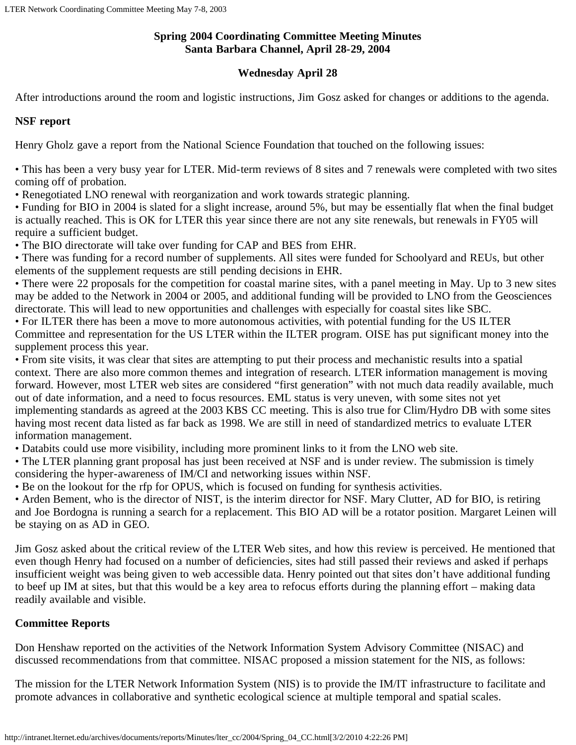### **Spring 2004 Coordinating Committee Meeting Minutes Santa Barbara Channel, April 28-29, 2004**

# **Wednesday April 28**

After introductions around the room and logistic instructions, Jim Gosz asked for changes or additions to the agenda.

### **NSF report**

Henry Gholz gave a report from the National Science Foundation that touched on the following issues:

• This has been a very busy year for LTER. Mid-term reviews of 8 sites and 7 renewals were completed with two sites coming off of probation.

• Renegotiated LNO renewal with reorganization and work towards strategic planning.

• Funding for BIO in 2004 is slated for a slight increase, around 5%, but may be essentially flat when the final budget is actually reached. This is OK for LTER this year since there are not any site renewals, but renewals in FY05 will require a sufficient budget.

• The BIO directorate will take over funding for CAP and BES from EHR.

• There was funding for a record number of supplements. All sites were funded for Schoolyard and REUs, but other elements of the supplement requests are still pending decisions in EHR.

• There were 22 proposals for the competition for coastal marine sites, with a panel meeting in May. Up to 3 new sites may be added to the Network in 2004 or 2005, and additional funding will be provided to LNO from the Geosciences directorate. This will lead to new opportunities and challenges with especially for coastal sites like SBC.

• For ILTER there has been a move to more autonomous activities, with potential funding for the US ILTER Committee and representation for the US LTER within the ILTER program. OISE has put significant money into the supplement process this year.

• From site visits, it was clear that sites are attempting to put their process and mechanistic results into a spatial context. There are also more common themes and integration of research. LTER information management is moving forward. However, most LTER web sites are considered "first generation" with not much data readily available, much out of date information, and a need to focus resources. EML status is very uneven, with some sites not yet implementing standards as agreed at the 2003 KBS CC meeting. This is also true for Clim/Hydro DB with some sites having most recent data listed as far back as 1998. We are still in need of standardized metrics to evaluate LTER information management.

• Databits could use more visibility, including more prominent links to it from the LNO web site.

• The LTER planning grant proposal has just been received at NSF and is under review. The submission is timely considering the hyper-awareness of IM/CI and networking issues within NSF.

• Be on the lookout for the rfp for OPUS, which is focused on funding for synthesis activities.

• Arden Bement, who is the director of NIST, is the interim director for NSF. Mary Clutter, AD for BIO, is retiring and Joe Bordogna is running a search for a replacement. This BIO AD will be a rotator position. Margaret Leinen will be staying on as AD in GEO.

Jim Gosz asked about the critical review of the LTER Web sites, and how this review is perceived. He mentioned that even though Henry had focused on a number of deficiencies, sites had still passed their reviews and asked if perhaps insufficient weight was being given to web accessible data. Henry pointed out that sites don't have additional funding to beef up IM at sites, but that this would be a key area to refocus efforts during the planning effort – making data readily available and visible.

# **Committee Reports**

Don Henshaw reported on the activities of the Network Information System Advisory Committee (NISAC) and discussed recommendations from that committee. NISAC proposed a mission statement for the NIS, as follows:

The mission for the LTER Network Information System (NIS) is to provide the IM/IT infrastructure to facilitate and promote advances in collaborative and synthetic ecological science at multiple temporal and spatial scales.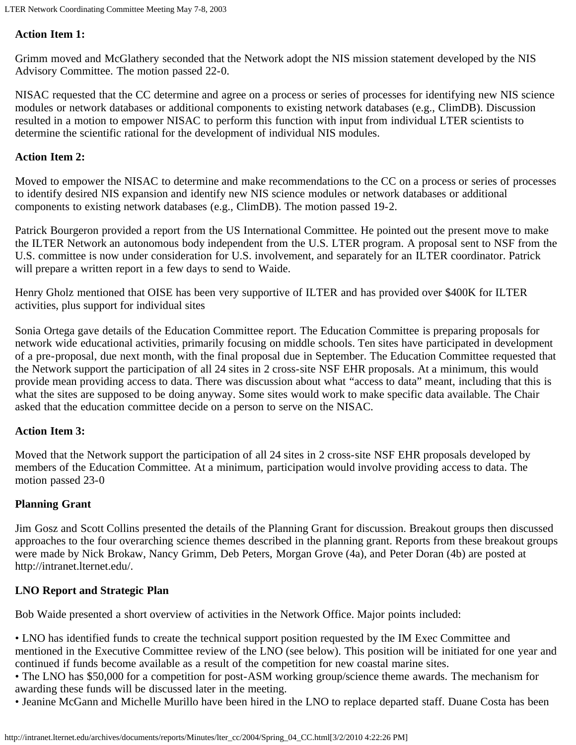### **Action Item 1:**

Grimm moved and McGlathery seconded that the Network adopt the NIS mission statement developed by the NIS Advisory Committee. The motion passed 22-0.

NISAC requested that the CC determine and agree on a process or series of processes for identifying new NIS science modules or network databases or additional components to existing network databases (e.g., ClimDB). Discussion resulted in a motion to empower NISAC to perform this function with input from individual LTER scientists to determine the scientific rational for the development of individual NIS modules.

### **Action Item 2:**

Moved to empower the NISAC to determine and make recommendations to the CC on a process or series of processes to identify desired NIS expansion and identify new NIS science modules or network databases or additional components to existing network databases (e.g., ClimDB). The motion passed 19-2.

Patrick Bourgeron provided a report from the US International Committee. He pointed out the present move to make the ILTER Network an autonomous body independent from the U.S. LTER program. A proposal sent to NSF from the U.S. committee is now under consideration for U.S. involvement, and separately for an ILTER coordinator. Patrick will prepare a written report in a few days to send to Waide.

Henry Gholz mentioned that OISE has been very supportive of ILTER and has provided over \$400K for ILTER activities, plus support for individual sites

Sonia Ortega gave details of the Education Committee report. The Education Committee is preparing proposals for network wide educational activities, primarily focusing on middle schools. Ten sites have participated in development of a pre-proposal, due next month, with the final proposal due in September. The Education Committee requested that the Network support the participation of all 24 sites in 2 cross-site NSF EHR proposals. At a minimum, this would provide mean providing access to data. There was discussion about what "access to data" meant, including that this is what the sites are supposed to be doing anyway. Some sites would work to make specific data available. The Chair asked that the education committee decide on a person to serve on the NISAC.

#### **Action Item 3:**

Moved that the Network support the participation of all 24 sites in 2 cross-site NSF EHR proposals developed by members of the Education Committee. At a minimum, participation would involve providing access to data. The motion passed 23-0

### **Planning Grant**

Jim Gosz and Scott Collins presented the details of the Planning Grant for discussion. Breakout groups then discussed approaches to the four overarching science themes described in the planning grant. Reports from these breakout groups were made by Nick Brokaw, Nancy Grimm, Deb Peters, Morgan Grove (4a), and Peter Doran (4b) are posted at http://intranet.lternet.edu/.

### **LNO Report and Strategic Plan**

Bob Waide presented a short overview of activities in the Network Office. Major points included:

• LNO has identified funds to create the technical support position requested by the IM Exec Committee and mentioned in the Executive Committee review of the LNO (see below). This position will be initiated for one year and continued if funds become available as a result of the competition for new coastal marine sites.

• The LNO has \$50,000 for a competition for post-ASM working group/science theme awards. The mechanism for awarding these funds will be discussed later in the meeting.

• Jeanine McGann and Michelle Murillo have been hired in the LNO to replace departed staff. Duane Costa has been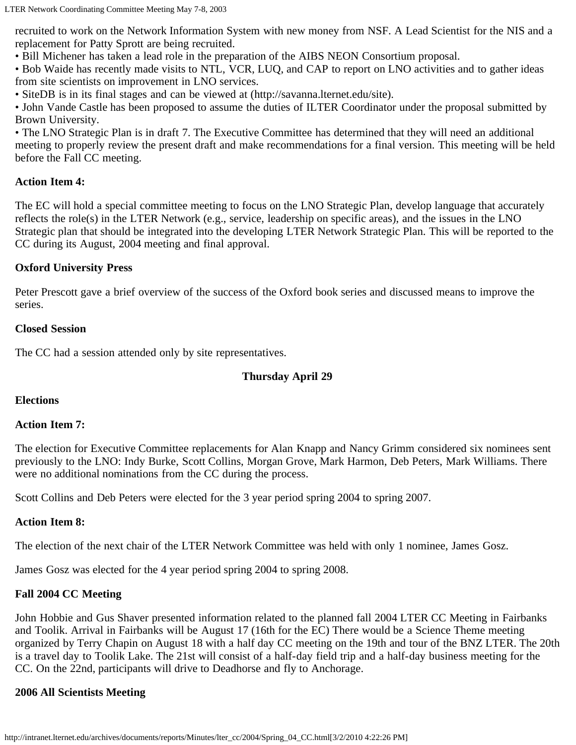recruited to work on the Network Information System with new money from NSF. A Lead Scientist for the NIS and a replacement for Patty Sprott are being recruited.

• Bill Michener has taken a lead role in the preparation of the AIBS NEON Consortium proposal.

• Bob Waide has recently made visits to NTL, VCR, LUQ, and CAP to report on LNO activities and to gather ideas from site scientists on improvement in LNO services.

• SiteDB is in its final stages and can be viewed at (http://savanna.lternet.edu/site).

• John Vande Castle has been proposed to assume the duties of ILTER Coordinator under the proposal submitted by Brown University.

• The LNO Strategic Plan is in draft 7. The Executive Committee has determined that they will need an additional meeting to properly review the present draft and make recommendations for a final version. This meeting will be held before the Fall CC meeting.

### **Action Item 4:**

The EC will hold a special committee meeting to focus on the LNO Strategic Plan, develop language that accurately reflects the role(s) in the LTER Network (e.g., service, leadership on specific areas), and the issues in the LNO Strategic plan that should be integrated into the developing LTER Network Strategic Plan. This will be reported to the CC during its August, 2004 meeting and final approval.

### **Oxford University Press**

Peter Prescott gave a brief overview of the success of the Oxford book series and discussed means to improve the series.

#### **Closed Session**

The CC had a session attended only by site representatives.

### **Thursday April 29**

#### **Elections**

#### **Action Item 7:**

The election for Executive Committee replacements for Alan Knapp and Nancy Grimm considered six nominees sent previously to the LNO: Indy Burke, Scott Collins, Morgan Grove, Mark Harmon, Deb Peters, Mark Williams. There were no additional nominations from the CC during the process.

Scott Collins and Deb Peters were elected for the 3 year period spring 2004 to spring 2007.

#### **Action Item 8:**

The election of the next chair of the LTER Network Committee was held with only 1 nominee, James Gosz.

James Gosz was elected for the 4 year period spring 2004 to spring 2008.

### **Fall 2004 CC Meeting**

John Hobbie and Gus Shaver presented information related to the planned fall 2004 LTER CC Meeting in Fairbanks and Toolik. Arrival in Fairbanks will be August 17 (16th for the EC) There would be a Science Theme meeting organized by Terry Chapin on August 18 with a half day CC meeting on the 19th and tour of the BNZ LTER. The 20th is a travel day to Toolik Lake. The 21st will consist of a half-day field trip and a half-day business meeting for the CC. On the 22nd, participants will drive to Deadhorse and fly to Anchorage.

### **2006 All Scientists Meeting**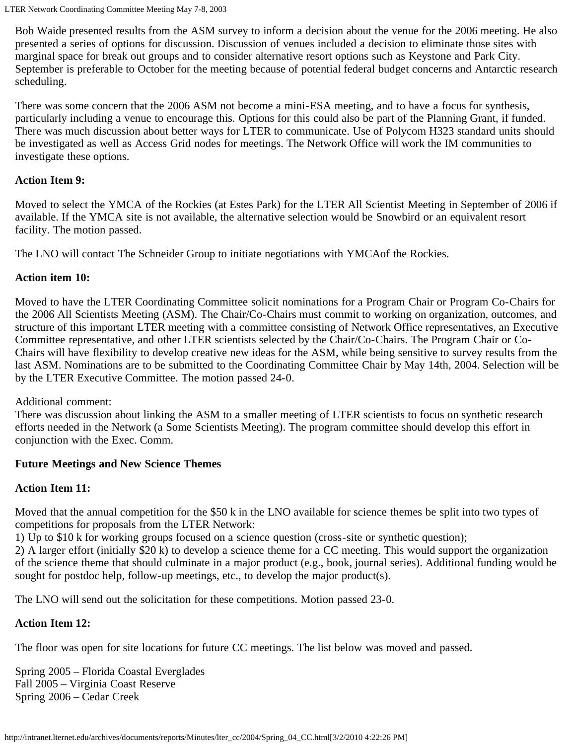Bob Waide presented results from the ASM survey to inform a decision about the venue for the 2006 meeting. He also presented a series of options for discussion. Discussion of venues included a decision to eliminate those sites with marginal space for break out groups and to consider alternative resort options such as Keystone and Park City. September is preferable to October for the meeting because of potential federal budget concerns and Antarctic research scheduling.

There was some concern that the 2006 ASM not become a mini-ESA meeting, and to have a focus for synthesis, particularly including a venue to encourage this. Options for this could also be part of the Planning Grant, if funded. There was much discussion about better ways for LTER to communicate. Use of Polycom H323 standard units should be investigated as well as Access Grid nodes for meetings. The Network Office will work the IM communities to investigate these options.

### **Action Item 9:**

Moved to select the YMCA of the Rockies (at Estes Park) for the LTER All Scientist Meeting in September of 2006 if available. If the YMCA site is not available, the alternative selection would be Snowbird or an equivalent resort facility. The motion passed.

The LNO will contact The Schneider Group to initiate negotiations with YMCAof the Rockies.

## **Action item 10:**

Moved to have the LTER Coordinating Committee solicit nominations for a Program Chair or Program Co-Chairs for the 2006 All Scientists Meeting (ASM). The Chair/Co-Chairs must commit to working on organization, outcomes, and structure of this important LTER meeting with a committee consisting of Network Office representatives, an Executive Committee representative, and other LTER scientists selected by the Chair/Co-Chairs. The Program Chair or Co-Chairs will have flexibility to develop creative new ideas for the ASM, while being sensitive to survey results from the last ASM. Nominations are to be submitted to the Coordinating Committee Chair by May 14th, 2004. Selection will be by the LTER Executive Committee. The motion passed 24-0.

### Additional comment:

There was discussion about linking the ASM to a smaller meeting of LTER scientists to focus on synthetic research efforts needed in the Network (a Some Scientists Meeting). The program committee should develop this effort in conjunction with the Exec. Comm.

# **Future Meetings and New Science Themes**

# **Action Item 11:**

Moved that the annual competition for the \$50 k in the LNO available for science themes be split into two types of competitions for proposals from the LTER Network:

1) Up to \$10 k for working groups focused on a science question (cross-site or synthetic question);

2) A larger effort (initially \$20 k) to develop a science theme for a CC meeting. This would support the organization of the science theme that should culminate in a major product (e.g., book, journal series). Additional funding would be sought for postdoc help, follow-up meetings, etc., to develop the major product(s).

The LNO will send out the solicitation for these competitions. Motion passed 23-0.

# **Action Item 12:**

The floor was open for site locations for future CC meetings. The list below was moved and passed.

Spring 2005 – Florida Coastal Everglades Fall 2005 – Virginia Coast Reserve Spring 2006 – Cedar Creek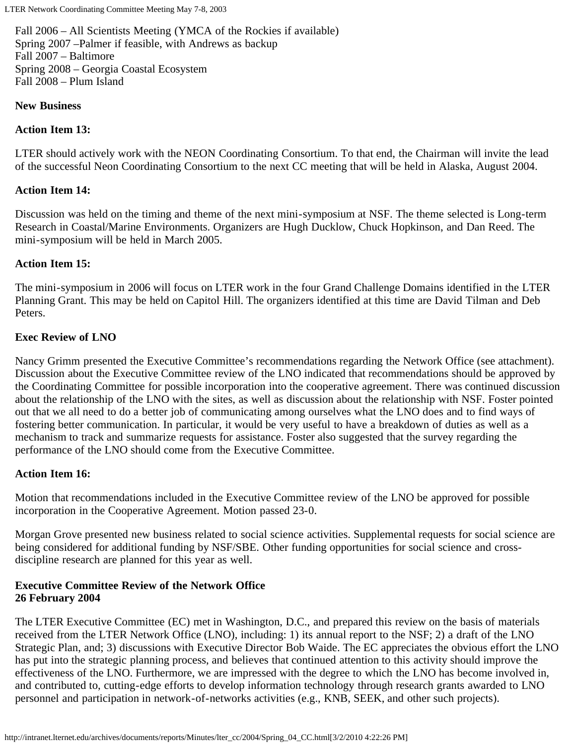LTER Network Coordinating Committee Meeting May 7-8, 2003

Fall 2006 – All Scientists Meeting (YMCA of the Rockies if available) Spring 2007 –Palmer if feasible, with Andrews as backup Fall 2007 – Baltimore Spring 2008 – Georgia Coastal Ecosystem Fall 2008 – Plum Island

#### **New Business**

#### **Action Item 13:**

LTER should actively work with the NEON Coordinating Consortium. To that end, the Chairman will invite the lead of the successful Neon Coordinating Consortium to the next CC meeting that will be held in Alaska, August 2004.

#### **Action Item 14:**

Discussion was held on the timing and theme of the next mini-symposium at NSF. The theme selected is Long-term Research in Coastal/Marine Environments. Organizers are Hugh Ducklow, Chuck Hopkinson, and Dan Reed. The mini-symposium will be held in March 2005.

#### **Action Item 15:**

The mini-symposium in 2006 will focus on LTER work in the four Grand Challenge Domains identified in the LTER Planning Grant. This may be held on Capitol Hill. The organizers identified at this time are David Tilman and Deb Peters.

#### **Exec Review of LNO**

Nancy Grimm presented the Executive Committee's recommendations regarding the Network Office (see attachment). Discussion about the Executive Committee review of the LNO indicated that recommendations should be approved by the Coordinating Committee for possible incorporation into the cooperative agreement. There was continued discussion about the relationship of the LNO with the sites, as well as discussion about the relationship with NSF. Foster pointed out that we all need to do a better job of communicating among ourselves what the LNO does and to find ways of fostering better communication. In particular, it would be very useful to have a breakdown of duties as well as a mechanism to track and summarize requests for assistance. Foster also suggested that the survey regarding the performance of the LNO should come from the Executive Committee.

#### **Action Item 16:**

Motion that recommendations included in the Executive Committee review of the LNO be approved for possible incorporation in the Cooperative Agreement. Motion passed 23-0.

Morgan Grove presented new business related to social science activities. Supplemental requests for social science are being considered for additional funding by NSF/SBE. Other funding opportunities for social science and crossdiscipline research are planned for this year as well.

#### **Executive Committee Review of the Network Office 26 February 2004**

The LTER Executive Committee (EC) met in Washington, D.C., and prepared this review on the basis of materials received from the LTER Network Office (LNO), including: 1) its annual report to the NSF; 2) a draft of the LNO Strategic Plan, and; 3) discussions with Executive Director Bob Waide. The EC appreciates the obvious effort the LNO has put into the strategic planning process, and believes that continued attention to this activity should improve the effectiveness of the LNO. Furthermore, we are impressed with the degree to which the LNO has become involved in, and contributed to, cutting-edge efforts to develop information technology through research grants awarded to LNO personnel and participation in network-of-networks activities (e.g., KNB, SEEK, and other such projects).